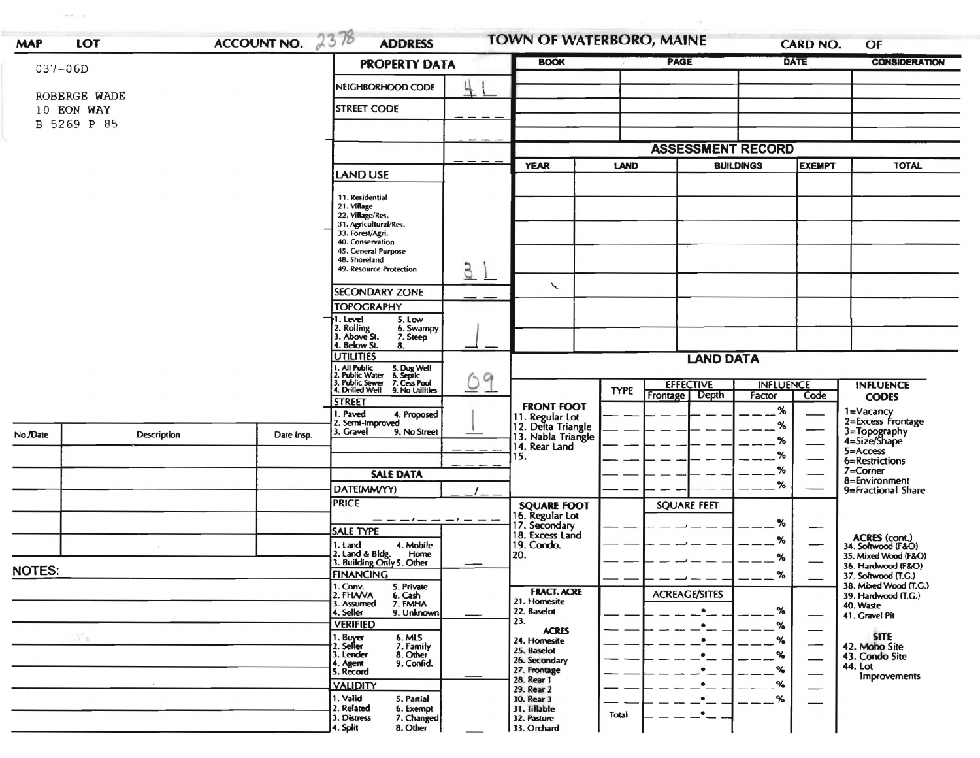| ACCOUNT NO. 2378<br>$037 - 06D$ |              |            | <b>PROPERTY DATA</b>                                                                                                      | <b>BOOK</b>   |                                            | <b>PAGE</b> |                          | <b>DATE</b>      | <b>CONSIDERATION</b>          |                                              |
|---------------------------------|--------------|------------|---------------------------------------------------------------------------------------------------------------------------|---------------|--------------------------------------------|-------------|--------------------------|------------------|-------------------------------|----------------------------------------------|
|                                 |              |            | NEIGHBORHOOD CODE                                                                                                         |               |                                            |             |                          |                  |                               |                                              |
|                                 | ROBERGE WADE |            |                                                                                                                           |               |                                            |             |                          |                  |                               |                                              |
| 10 EON WAY<br>B 5269 P 85       |              |            | <b>STREET CODE</b>                                                                                                        |               |                                            |             |                          |                  |                               |                                              |
|                                 |              |            |                                                                                                                           |               |                                            |             |                          |                  |                               |                                              |
|                                 |              |            |                                                                                                                           |               |                                            |             | <b>ASSESSMENT RECORD</b> |                  |                               |                                              |
|                                 |              |            | <b>LAND USE</b>                                                                                                           |               | <b>YEAR</b>                                | <b>LAND</b> |                          | <b>BUILDINGS</b> | <b>EXEMPT</b>                 | <b>TOTAL</b>                                 |
|                                 |              |            |                                                                                                                           |               |                                            |             |                          |                  |                               |                                              |
|                                 |              |            | 11. Residential<br>21. Village                                                                                            |               |                                            |             |                          |                  |                               |                                              |
|                                 |              |            | 22. Village/Res.<br>31. Agricultural/Res.                                                                                 |               |                                            |             |                          |                  |                               |                                              |
|                                 |              |            | 33. Forest/Agri.                                                                                                          |               |                                            |             |                          |                  |                               |                                              |
|                                 |              |            | 40. Conservation<br>45. General Purpose                                                                                   |               |                                            |             |                          |                  |                               |                                              |
|                                 |              |            | 48. Shoreland<br>49. Resource Protection                                                                                  | $\mathcal{G}$ |                                            |             |                          |                  |                               |                                              |
|                                 |              |            |                                                                                                                           |               | ╲                                          |             |                          |                  |                               |                                              |
|                                 |              |            | <b>SECONDARY ZONE</b><br><b>TOPOGRAPHY</b>                                                                                |               |                                            |             |                          |                  |                               |                                              |
|                                 |              |            | 1. Level<br>5. Low                                                                                                        |               |                                            |             |                          |                  |                               |                                              |
|                                 |              |            | 2. Rolling<br>6. Swampy<br>3. Above St.<br>7. Steep                                                                       |               |                                            |             |                          |                  |                               |                                              |
|                                 |              |            | 4. Below St.<br>8.<br><b>UTILITIES</b>                                                                                    |               |                                            |             |                          |                  |                               |                                              |
|                                 |              |            |                                                                                                                           |               | <b>LAND DATA</b>                           |             |                          |                  |                               |                                              |
|                                 |              |            | 1. All Public 5. Dug Well<br>2. Public Water 6. Septic<br>3. Public Sewer 7. Cess Pool<br>4. Drilled Well 9. No Utilities | $\circ$       |                                            |             | <b>EFFECTIVE</b>         | <b>INFLUENCE</b> |                               | <b>INFLUENCE</b>                             |
|                                 |              |            | <b>STREET</b>                                                                                                             |               | <b>FRONT FOOT</b>                          | <b>TYPE</b> | <b>Depth</b><br>Frontage | Factor           | Code                          | <b>CODES</b>                                 |
|                                 |              |            | I. Paved<br>4. Proposed                                                                                                   |               | 11. Regular Lot<br>12. Delta Triangle      |             |                          | %                |                               | 1=Vacancy<br>2=Excess Frontage               |
| No./Date                        | Description  | Date Insp. | 2. Semi-Improved<br>3. Gravel<br>9. No Street                                                                             |               | 13. Nabla Triangle<br>14. Rear Land<br>15. |             |                          | $\%$             |                               | 3=Topography<br>4=Size/Shape                 |
|                                 |              |            |                                                                                                                           |               |                                            |             |                          | ℅                |                               | 5=Access                                     |
|                                 |              |            |                                                                                                                           |               |                                            |             |                          | %<br>%           |                               | 6=Restrictions                               |
|                                 |              |            | <b>SALE DATA</b>                                                                                                          |               |                                            |             |                          | %                |                               | 7=Corner<br>8=Environment                    |
|                                 |              |            | DATE(MM/YY)                                                                                                               |               |                                            |             |                          |                  |                               | 9=Fractional Share                           |
|                                 |              |            | <b>PRICE</b>                                                                                                              |               | <b>SQUARE FOOT</b><br>16. Regular Lot      |             | <b>SQUARE FEET</b>       |                  |                               |                                              |
|                                 |              |            | — — — ! — — — ! — — —<br><b>SALE TYPE</b>                                                                                 |               | 17. Secondary<br>18. Excess Land           |             |                          | %                |                               |                                              |
|                                 |              |            | 1. Land<br>4. Mobile                                                                                                      |               | 19. Condo.                                 |             |                          | %                |                               | ACRES (cont.)<br>34. Softwood (F&O)          |
|                                 |              |            | 2. Land & Bldg.<br>Home<br>3. Building Only 5. Other                                                                      |               | 20.                                        |             |                          | %                |                               | 35. Mixed Wood (F&O)<br>36. Hardwood (F&O)   |
| NOTES:                          |              |            | <b>FINANCING</b>                                                                                                          |               |                                            |             |                          | %                |                               | 37. Softwood (T.G.)                          |
|                                 |              |            | 1. Conv.<br>5. Private<br>2. FHAVA<br>6. Cash                                                                             |               | <b>FRACT. ACRE</b>                         |             | <b>ACREAGE/SITES</b>     |                  |                               | 38. Mixed Wood (T.G.)<br>39. Hardwood (T.G.) |
|                                 |              |            | 3. Assumed<br>7. FMHA<br>4. Seller<br>9. Unknown                                                                          |               | 21. Homesite<br>22. Baselot                |             | $\bullet$                | %                |                               | 40. Waste<br>41. Gravel Pit                  |
|                                 |              |            | <b>VERIFIED</b>                                                                                                           |               | 23.<br><b>ACRES</b>                        |             |                          | %                |                               |                                              |
| $\mathcal{F}_{\mathcal{N}}$     |              |            | 6. MLS<br>1. Buyer<br>2. Seller<br>7. Family                                                                              |               | 24. Homesite                               |             |                          | %                | $\overline{\phantom{a}}$      | <b>SITE</b><br>42. Moho Site                 |
|                                 |              |            | 3. Lender<br>8. Other<br>9. Confid.                                                                                       |               | 25. Baselot<br>26. Secondary               |             |                          | %                | $\overbrace{\phantom{aaaaa}}$ | 43. Condo Site                               |
|                                 |              |            | 4. Agent<br>5. Record                                                                                                     |               | 27. Frontage<br>28. Rear 1                 |             |                          | %                |                               | 44. Lot<br><b>Improvements</b>               |
|                                 |              |            | <b>VALIDITY</b>                                                                                                           |               | 29. Rear 2                                 |             |                          | $\%$             |                               |                                              |
|                                 |              |            | 1. Valid<br>5. Partial<br>2. Related<br>6. Exempt                                                                         |               | 30. Rear 3<br>31. Tillable                 |             |                          | %                |                               |                                              |
|                                 |              |            | 3. Distress<br>7. Changed                                                                                                 |               | 32. Pasture                                | Total       | $\bullet$                |                  |                               |                                              |

 $\sim$   $\alpha$